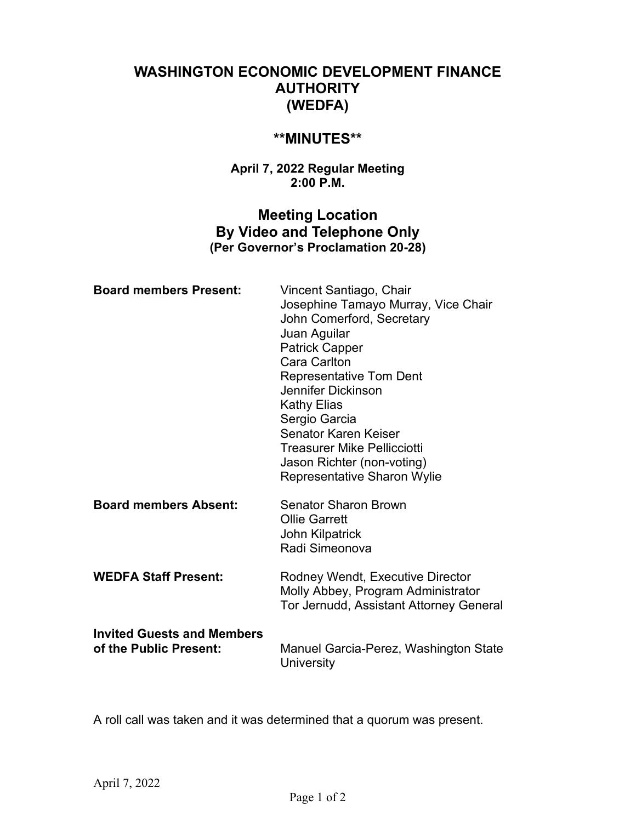# **WASHINGTON ECONOMIC DEVELOPMENT FINANCE AUTHORITY (WEDFA)**

## **\*\*MINUTES\*\***

### **April 7, 2022 Regular Meeting 2:00 P.M.**

## **Meeting Location By Video and Telephone Only (Per Governor's Proclamation 20-28)**

| <b>Board members Present:</b>                               | Vincent Santiago, Chair<br>Josephine Tamayo Murray, Vice Chair<br>John Comerford, Secretary<br>Juan Aguilar<br><b>Patrick Capper</b><br>Cara Carlton<br><b>Representative Tom Dent</b><br>Jennifer Dickinson<br><b>Kathy Elias</b><br>Sergio Garcia<br><b>Senator Karen Keiser</b><br><b>Treasurer Mike Pellicciotti</b><br>Jason Richter (non-voting)<br><b>Representative Sharon Wylie</b> |
|-------------------------------------------------------------|----------------------------------------------------------------------------------------------------------------------------------------------------------------------------------------------------------------------------------------------------------------------------------------------------------------------------------------------------------------------------------------------|
| <b>Board members Absent:</b>                                | <b>Senator Sharon Brown</b><br><b>Ollie Garrett</b><br>John Kilpatrick<br>Radi Simeonova                                                                                                                                                                                                                                                                                                     |
| <b>WEDFA Staff Present:</b>                                 | Rodney Wendt, Executive Director<br>Molly Abbey, Program Administrator<br>Tor Jernudd, Assistant Attorney General                                                                                                                                                                                                                                                                            |
| <b>Invited Guests and Members</b><br>of the Public Present: | Manuel Garcia-Perez, Washington State<br>University                                                                                                                                                                                                                                                                                                                                          |

A roll call was taken and it was determined that a quorum was present.